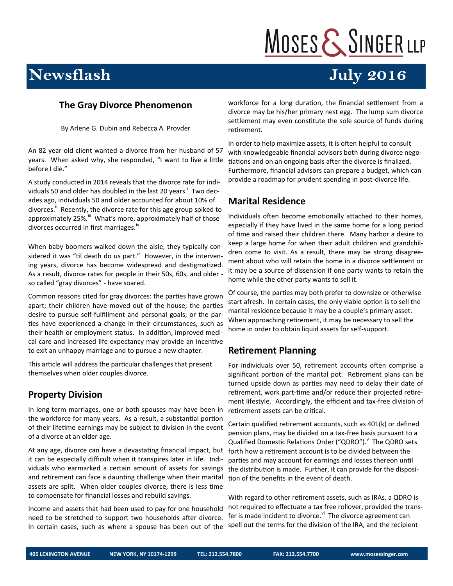# MOSES & SINGER LLP

**July 2016** 

### **Newsflash**

#### **The Gray Divorce Phenomenon**

By Arlene G. Dubin and Rebecca A. Provder

An 82 year old client wanted a divorce from her husband of 57 years. When asked why, she responded, "I want to live a little before I die."

A study conducted in 2014 reveals that the divorce rate for individuals 50 and older has doubled in the last 20 years.<sup>i</sup> Two decades ago, individuals 50 and older accounted for about 10% of divorces.<sup>ii</sup> Recently, the divorce rate for this age group spiked to approximately 25%.<sup>iii</sup> What's more, approximately half of those divorces occurred in first marriages.<sup>iv</sup>

When baby boomers walked down the aisle, they typically considered it was "til death do us part." However, in the intervening years, divorce has become widespread and destigmatized. As a result, divorce rates for people in their 50s, 60s, and older so called "gray divorces" - have soared.

Common reasons cited for gray divorces: the parties have grown apart; their children have moved out of the house; the parties desire to pursue self-fulfillment and personal goals; or the parties have experienced a change in their circumstances, such as their health or employment status. In addition, improved medical care and increased life expectancy may provide an incentive to exit an unhappy marriage and to pursue a new chapter.

This article will address the particular challenges that present themselves when older couples divorce.

#### **Property Division**

In long term marriages, one or both spouses may have been in the workforce for many years. As a result, a substantial portion of their lifetime earnings may be subject to division in the event of a divorce at an older age.

At any age, divorce can have a devastating financial impact, but it can be especially difficult when it transpires later in life. Individuals who earmarked a certain amount of assets for savings and retirement can face a daunting challenge when their marital assets are split. When older couples divorce, there is less time to compensate for financial losses and rebuild savings.

Income and assets that had been used to pay for one household need to be stretched to support two households after divorce. In certain cases, such as where a spouse has been out of the

workforce for a long duration, the financial settlement from a divorce may be his/her primary nest egg. The lump sum divorce settlement may even constitute the sole source of funds during retirement.

In order to help maximize assets, it is often helpful to consult with knowledgeable financial advisors both during divorce negotiations and on an ongoing basis after the divorce is finalized. Furthermore, financial advisors can prepare a budget, which can provide a roadmap for prudent spending in post-divorce life.

#### **Marital Residence**

Individuals often become emotionally attached to their homes, especially if they have lived in the same home for a long period of time and raised their children there. Many harbor a desire to keep a large home for when their adult children and grandchildren come to visit. As a result, there may be strong disagreement about who will retain the home in a divorce settlement or it may be a source of dissension if one party wants to retain the home while the other party wants to sell it.

Of course, the parties may both prefer to downsize or otherwise start afresh. In certain cases, the only viable option is to sell the marital residence because it may be a couple's primary asset. When approaching retirement, it may be necessary to sell the home in order to obtain liquid assets for self-support.

#### **Retirement Planning**

For individuals over 50, retirement accounts often comprise a significant portion of the marital pot. Retirement plans can be turned upside down as parties may need to delay their date of retirement, work part-time and/or reduce their projected retirement lifestyle. Accordingly, the efficient and tax-free division of retirement assets can be critical.

Certain qualified retirement accounts, such as 401(k) or defined pension plans, may be divided on a tax-free basis pursuant to a Qualified Domestic Relations Order ("QDRO"). The QDRO sets forth how a retirement account is to be divided between the parties and may account for earnings and losses thereon until the distribution is made. Further, it can provide for the disposition of the benefits in the event of death.

With regard to other retirement assets, such as IRAs, a QDRO is not required to effectuate a tax free rollover, provided the transfer is made incident to divorce.<sup>vi</sup> The divorce agreement can spell out the terms for the division of the IRA, and the recipient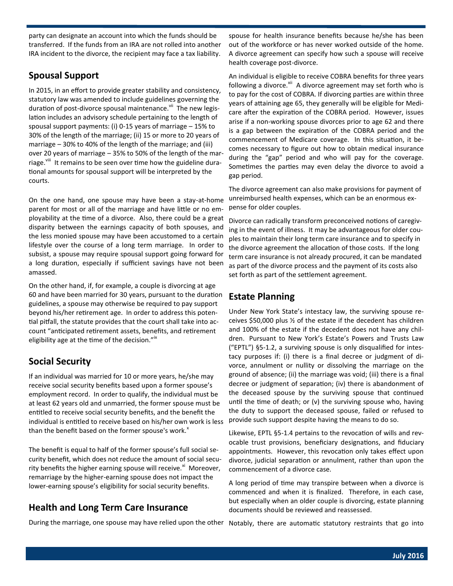party can designate an account into which the funds should be transferred. If the funds from an IRA are not rolled into another IRA incident to the divorce, the recipient may face a tax liability.

#### **Spousal Support**

In 2015, in an effort to provide greater stability and consistency, statutory law was amended to include guidelines governing the duration of post-divorce spousal maintenance.<sup>vii</sup> The new legislation includes an advisory schedule pertaining to the length of spousal support payments: (i) 0-15 years of marriage – 15% to 30% of the length of the marriage; (ii) 15 or more to 20 years of marriage – 30% to 40% of the length of the marriage; and (iii) over 20 years of marriage – 35% to 50% of the length of the marriage.<sup>viii</sup> It remains to be seen over time how the guideline durational amounts for spousal support will be interpreted by the courts.

On the one hand, one spouse may have been a stay-at-home parent for most or all of the marriage and have little or no employability at the time of a divorce. Also, there could be a great disparity between the earnings capacity of both spouses, and the less monied spouse may have been accustomed to a certain lifestyle over the course of a long term marriage. In order to subsist, a spouse may require spousal support going forward for a long duration, especially if sufficient savings have not been amassed.

On the other hand, if, for example, a couple is divorcing at age 60 and have been married for 30 years, pursuant to the duration guidelines, a spouse may otherwise be required to pay support beyond his/her retirement age. In order to address this potential pitfall, the statute provides that the court shall take into account "anticipated retirement assets, benefits, and retirement eligibility age at the time of the decision." $x^{\alpha}$ 

#### **Social Security**

If an individual was married for 10 or more years, he/she may receive social security benefits based upon a former spouse's employment record. In order to qualify, the individual must be at least 62 years old and unmarried, the former spouse must be entitled to receive social security benefits, and the benefit the individual is entitled to receive based on his/her own work is less than the benefit based on the former spouse's work. $^{\text{x}}$ 

The benefit is equal to half of the former spouse's full social security benefit, which does not reduce the amount of social security benefits the higher earning spouse will receive.<sup>xi</sup> Moreover, remarriage by the higher-earning spouse does not impact the lower-earning spouse's eligibility for social security benefits.

#### **Health and Long Term Care Insurance**

spouse for health insurance benefits because he/she has been out of the workforce or has never worked outside of the home. A divorce agreement can specify how such a spouse will receive health coverage post-divorce.

An individual is eligible to receive COBRA benefits for three years following a divorce.<sup>xii</sup> A divorce agreement may set forth who is to pay for the cost of COBRA. If divorcing parties are within three years of attaining age 65, they generally will be eligible for Medicare after the expiration of the COBRA period. However, issues arise if a non-working spouse divorces prior to age 62 and there is a gap between the expiration of the COBRA period and the commencement of Medicare coverage. In this situation, it becomes necessary to figure out how to obtain medical insurance during the "gap" period and who will pay for the coverage. Sometimes the parties may even delay the divorce to avoid a gap period.

The divorce agreement can also make provisions for payment of unreimbursed health expenses, which can be an enormous expense for older couples.

Divorce can radically transform preconceived notions of caregiving in the event of illness. It may be advantageous for older couples to maintain their long term care insurance and to specify in the divorce agreement the allocation of those costs. If the long term care insurance is not already procured, it can be mandated as part of the divorce process and the payment of its costs also set forth as part of the settlement agreement.

#### **Estate Planning**

Under New York State's intestacy law, the surviving spouse receives \$50,000 plus ½ of the estate if the decedent has children and 100% of the estate if the decedent does not have any children. Pursuant to New York's Estate's Powers and Trusts Law ("EPTL") §5-1.2, a surviving spouse is only disqualified for intestacy purposes if: (i) there is a final decree or judgment of divorce, annulment or nullity or dissolving the marriage on the ground of absence; (ii) the marriage was void; (iii) there is a final decree or judgment of separation; (iv) there is abandonment of the deceased spouse by the surviving spouse that continued until the time of death; or (v) the surviving spouse who, having the duty to support the deceased spouse, failed or refused to provide such support despite having the means to do so.

Likewise, EPTL §5-1.4 pertains to the revocation of wills and revocable trust provisions, beneficiary designations, and fiduciary appointments. However, this revocation only takes effect upon divorce, judicial separation or annulment, rather than upon the commencement of a divorce case.

A long period of time may transpire between when a divorce is commenced and when it is finalized. Therefore, in each case, but especially when an older couple is divorcing, estate planning documents should be reviewed and reassessed.

During the marriage, one spouse may have relied upon the other Notably, there are automatic statutory restraints that go into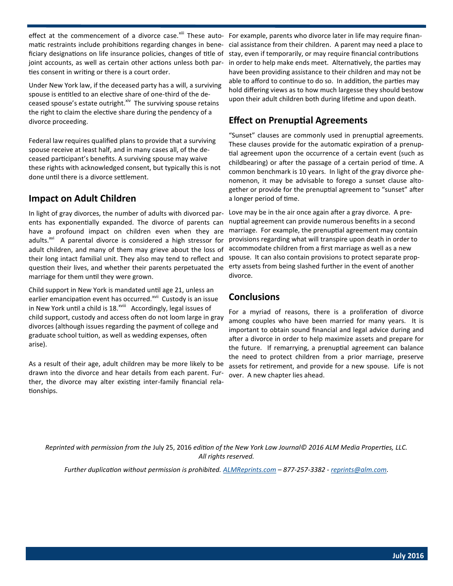matic restraints include prohibitions regarding changes in beneficiary designations on life insurance policies, changes of title of joint accounts, as well as certain other actions unless both parties consent in writing or there is a court order.

Under New York law, if the deceased party has a will, a surviving spouse is entitled to an elective share of one-third of the deceased spouse's estate outright. Xiv The surviving spouse retains the right to claim the elective share during the pendency of a divorce proceeding.

Federal law requires qualified plans to provide that a surviving spouse receive at least half, and in many cases all, of the deceased participant's benefits. A surviving spouse may waive these rights with acknowledged consent, but typically this is not done until there is a divorce settlement.

#### **Impact on Adult Children**

In light of gray divorces, the number of adults with divorced parents has exponentially expanded. The divorce of parents can have a profound impact on children even when they are adults.<sup>xvi</sup> A parental divorce is considered a high stressor for adult children, and many of them may grieve about the loss of their long intact familial unit. They also may tend to reflect and question their lives, and whether their parents perpetuated the marriage for them until they were grown.

Child support in New York is mandated until age 21, unless an earlier emancipation event has occurred.<sup>xvii</sup> Custody is an issue in New York until a child is 18.<sup>xviii</sup> Accordingly, legal issues of child support, custody and access often do not loom large in gray divorces (although issues regarding the payment of college and graduate school tuition, as well as wedding expenses, often arise).

As a result of their age, adult children may be more likely to be drawn into the divorce and hear details from each parent. Further, the divorce may alter existing inter-family financial relationships.

effect at the commencement of a divorce case.<sup>xiii</sup> These auto- For example, parents who divorce later in life may require financial assistance from their children. A parent may need a place to stay, even if temporarily, or may require financial contributions in order to help make ends meet. Alternatively, the parties may have been providing assistance to their children and may not be able to afford to continue to do so. In addition, the parties may hold differing views as to how much largesse they should bestow upon their adult children both during lifetime and upon death.

#### **Effect on Prenuptial Agreements**

"Sunset" clauses are commonly used in prenuptial agreements. These clauses provide for the automatic expiration of a prenuptial agreement upon the occurrence of a certain event (such as childbearing) or after the passage of a certain period of time. A common benchmark is 10 years. In light of the gray divorce phenomenon, it may be advisable to forego a sunset clause altogether or provide for the prenuptial agreement to "sunset" after a longer period of time.

Love may be in the air once again after a gray divorce. A prenuptial agreement can provide numerous benefits in a second marriage. For example, the prenuptial agreement may contain provisions regarding what will transpire upon death in order to accommodate children from a first marriage as well as a new spouse. It can also contain provisions to protect separate property assets from being slashed further in the event of another divorce.

#### **Conclusions**

For a myriad of reasons, there is a proliferation of divorce among couples who have been married for many years. It is important to obtain sound financial and legal advice during and after a divorce in order to help maximize assets and prepare for the future. If remarrying, a prenuptial agreement can balance the need to protect children from a prior marriage, preserve assets for retirement, and provide for a new spouse. Life is not over. A new chapter lies ahead.

*Reprinted with permission from the* July 25, 2016 *edition of the New York Law Journal© 2016 ALM Media Properties, LLC. All rights reserved.*

*Further duplication without permission is prohibited. [ALMReprints.com](http://ALMReprints.com) – 877-257-3382 - [reprints@alm.com.](mailto:reprints@alm.com)*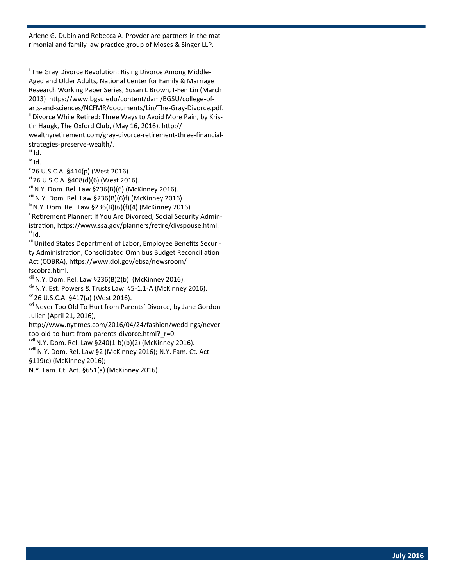Arlene G. Dubin and Rebecca A. Provder are partners in the matrimonial and family law practice group of Moses & Singer LLP.

<sup>i</sup> The Gray Divorce Revolution: Rising Divorce Among Middle-Aged and Older Adults, National Center for Family & Marriage Research Working Paper Series, Susan L Brown, I-Fen Lin (March 2013) https://www.bgsu.edu/content/dam/BGSU/college-ofarts-and-sciences/NCFMR/documents/Lin/The-Gray-Divorce.pdf. <sup>ii</sup> Divorce While Retired: Three Ways to Avoid More Pain, by Kristin Haugk, The Oxford Club, (May 16, 2016), http:// wealthyretirement.com/gray-divorce-retirement-three-financialstrategies-preserve-wealth/.

iii Id. iv Id.

 $"$ 26 U.S.C.A. §414(p) (West 2016).

vi 26 U.S.C.A. §408(d)(6) (West 2016).

 $vii$  N.Y. Dom. Rel. Law §236(B)(6) (McKinney 2016).

viii N.Y. Dom. Rel. Law §236(B)(6)f) (McKinney 2016).

 $i^{k}$  N.Y. Dom. Rel. Law §236(B)(6)(f)(4) (McKinney 2016).

<sup>x</sup> Retirement Planner: If You Are Divorced, Social Security Administration, https://www.ssa.gov/planners/retire/divspouse.html.  $\overline{a}$  Id.

xii United States Department of Labor, Employee Benefits Security Administration, Consolidated Omnibus Budget Reconciliation Act (COBRA), https://www.dol.gov/ebsa/newsroom/ fscobra.html.

 $x^{1/11}$  N.Y. Dom. Rel. Law §236(B)2(b) (McKinney 2016).

xiv N.Y. Est. Powers & Trusts Law §5-1.1-A (McKinney 2016).

xv 26 U.S.C.A. §417(a) (West 2016).

xvi Never Too Old To Hurt from Parents' Divorce, by Jane Gordon Julien (April 21, 2016),

http://www.nytimes.com/2016/04/24/fashion/weddings/nevertoo-old-to-hurt-from-parents-divorce.html? r=0.

xvii N.Y. Dom. Rel. Law §240(1-b)(b)(2) (McKinney 2016).

xviii N.Y. Dom. Rel. Law §2 (McKinney 2016); N.Y. Fam. Ct. Act §119(c) (McKinney 2016);

N.Y. Fam. Ct. Act. §651(a) (McKinney 2016).